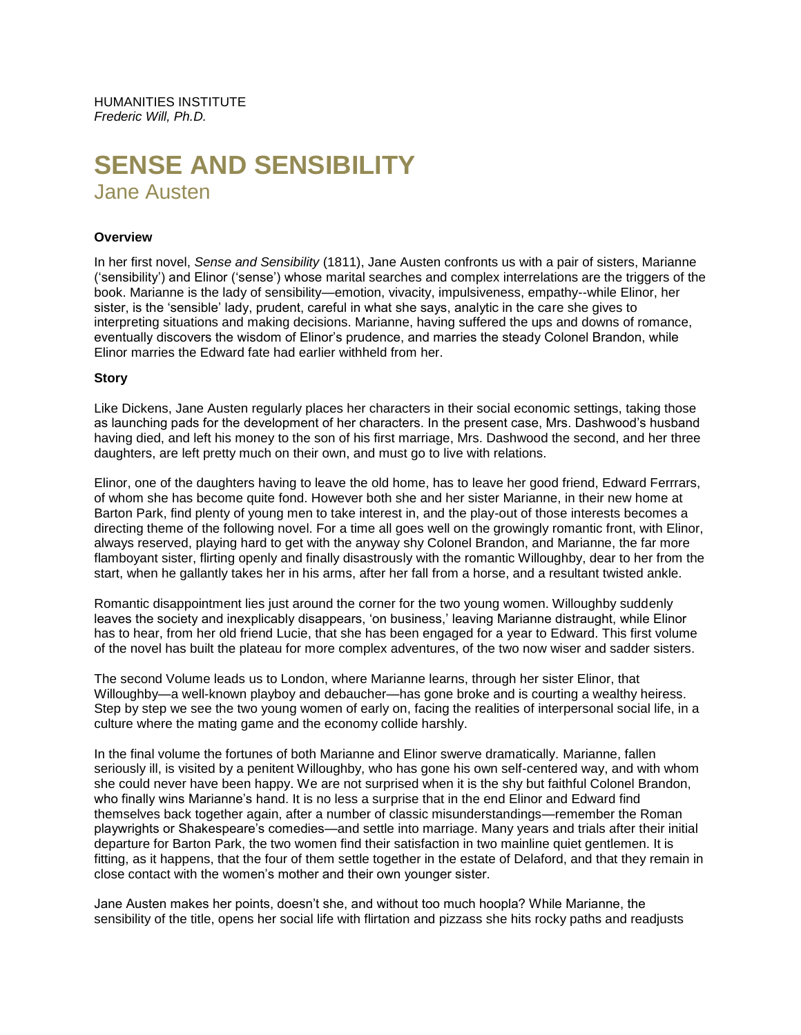# **SENSE AND SENSIBILITY** Jane Austen

#### **Overview**

In her first novel, *Sense and Sensibility* (1811), Jane Austen confronts us with a pair of sisters, Marianne ('sensibility') and Elinor ('sense') whose marital searches and complex interrelations are the triggers of the book. Marianne is the lady of sensibility—emotion, vivacity, impulsiveness, empathy--while Elinor, her sister, is the 'sensible' lady, prudent, careful in what she says, analytic in the care she gives to interpreting situations and making decisions. Marianne, having suffered the ups and downs of romance, eventually discovers the wisdom of Elinor's prudence, and marries the steady Colonel Brandon, while Elinor marries the Edward fate had earlier withheld from her.

#### **Story**

Like Dickens, Jane Austen regularly places her characters in their social economic settings, taking those as launching pads for the development of her characters. In the present case, Mrs. Dashwood's husband having died, and left his money to the son of his first marriage, Mrs. Dashwood the second, and her three daughters, are left pretty much on their own, and must go to live with relations.

Elinor, one of the daughters having to leave the old home, has to leave her good friend, Edward Ferrrars, of whom she has become quite fond. However both she and her sister Marianne, in their new home at Barton Park, find plenty of young men to take interest in, and the play-out of those interests becomes a directing theme of the following novel. For a time all goes well on the growingly romantic front, with Elinor, always reserved, playing hard to get with the anyway shy Colonel Brandon, and Marianne, the far more flamboyant sister, flirting openly and finally disastrously with the romantic Willoughby, dear to her from the start, when he gallantly takes her in his arms, after her fall from a horse, and a resultant twisted ankle.

Romantic disappointment lies just around the corner for the two young women. Willoughby suddenly leaves the society and inexplicably disappears, 'on business,' leaving Marianne distraught, while Elinor has to hear, from her old friend Lucie, that she has been engaged for a year to Edward. This first volume of the novel has built the plateau for more complex adventures, of the two now wiser and sadder sisters.

The second Volume leads us to London, where Marianne learns, through her sister Elinor, that Willoughby—a well-known playboy and debaucher—has gone broke and is courting a wealthy heiress. Step by step we see the two young women of early on, facing the realities of interpersonal social life, in a culture where the mating game and the economy collide harshly.

In the final volume the fortunes of both Marianne and Elinor swerve dramatically. Marianne, fallen seriously ill, is visited by a penitent Willoughby, who has gone his own self-centered way, and with whom she could never have been happy. We are not surprised when it is the shy but faithful Colonel Brandon, who finally wins Marianne's hand. It is no less a surprise that in the end Elinor and Edward find themselves back together again, after a number of classic misunderstandings—remember the Roman playwrights or Shakespeare's comedies—and settle into marriage. Many years and trials after their initial departure for Barton Park, the two women find their satisfaction in two mainline quiet gentlemen. It is fitting, as it happens, that the four of them settle together in the estate of Delaford, and that they remain in close contact with the women's mother and their own younger sister.

Jane Austen makes her points, doesn't she, and without too much hoopla? While Marianne, the sensibility of the title, opens her social life with flirtation and pizzass she hits rocky paths and readjusts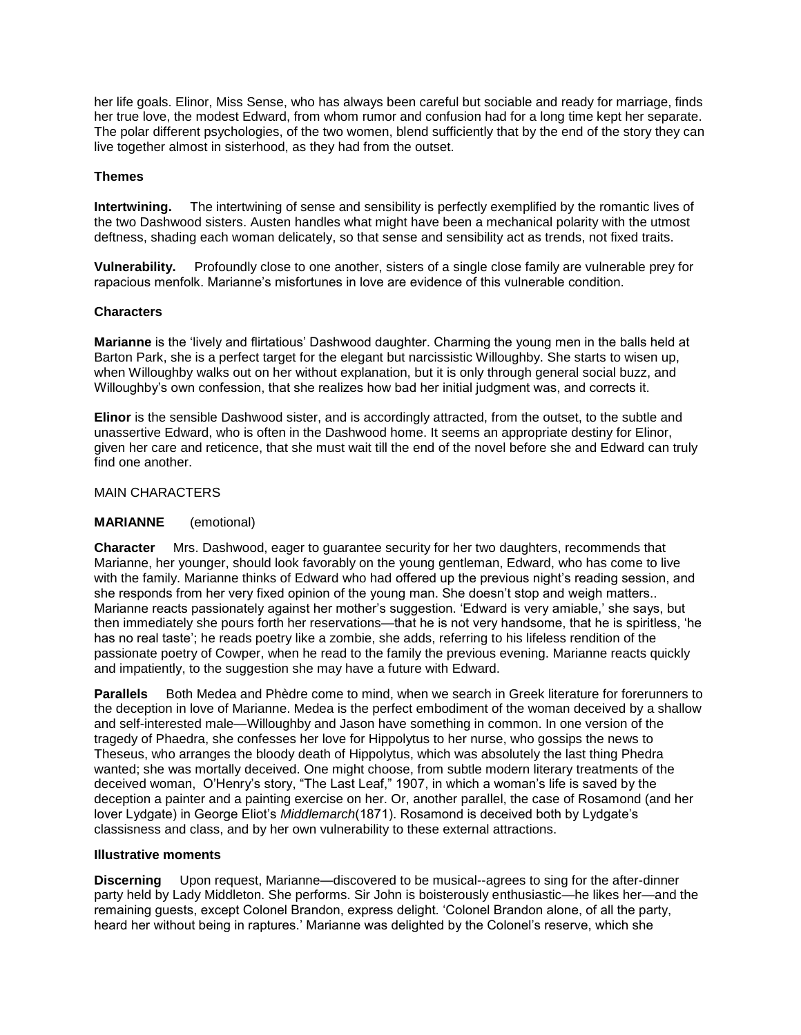her life goals. Elinor, Miss Sense, who has always been careful but sociable and ready for marriage, finds her true love, the modest Edward, from whom rumor and confusion had for a long time kept her separate. The polar different psychologies, of the two women, blend sufficiently that by the end of the story they can live together almost in sisterhood, as they had from the outset.

## **Themes**

**Intertwining.** The intertwining of sense and sensibility is perfectly exemplified by the romantic lives of the two Dashwood sisters. Austen handles what might have been a mechanical polarity with the utmost deftness, shading each woman delicately, so that sense and sensibility act as trends, not fixed traits.

**Vulnerability.** Profoundly close to one another, sisters of a single close family are vulnerable prey for rapacious menfolk. Marianne's misfortunes in love are evidence of this vulnerable condition.

# **Characters**

**Marianne** is the 'lively and flirtatious' Dashwood daughter. Charming the young men in the balls held at Barton Park, she is a perfect target for the elegant but narcissistic Willoughby. She starts to wisen up, when Willoughby walks out on her without explanation, but it is only through general social buzz, and Willoughby's own confession, that she realizes how bad her initial judgment was, and corrects it.

**Elinor** is the sensible Dashwood sister, and is accordingly attracted, from the outset, to the subtle and unassertive Edward, who is often in the Dashwood home. It seems an appropriate destiny for Elinor, given her care and reticence, that she must wait till the end of the novel before she and Edward can truly find one another.

# MAIN CHARACTERS

## **MARIANNE** (emotional)

**Character** Mrs. Dashwood, eager to guarantee security for her two daughters, recommends that Marianne, her younger, should look favorably on the young gentleman, Edward, who has come to live with the family. Marianne thinks of Edward who had offered up the previous night's reading session, and she responds from her very fixed opinion of the young man. She doesn't stop and weigh matters.. Marianne reacts passionately against her mother's suggestion. 'Edward is very amiable,' she says, but then immediately she pours forth her reservations—that he is not very handsome, that he is spiritless, 'he has no real taste'; he reads poetry like a zombie, she adds, referring to his lifeless rendition of the passionate poetry of Cowper, when he read to the family the previous evening. Marianne reacts quickly and impatiently, to the suggestion she may have a future with Edward.

**Parallels** Both Medea and Phèdre come to mind, when we search in Greek literature for forerunners to the deception in love of Marianne. Medea is the perfect embodiment of the woman deceived by a shallow and self-interested male—Willoughby and Jason have something in common. In one version of the tragedy of Phaedra, she confesses her love for Hippolytus to her nurse, who gossips the news to Theseus, who arranges the bloody death of Hippolytus, which was absolutely the last thing Phedra wanted; she was mortally deceived. One might choose, from subtle modern literary treatments of the deceived woman, O'Henry's story, "The Last Leaf," 1907, in which a woman's life is saved by the deception a painter and a painting exercise on her. Or, another parallel, the case of Rosamond (and her lover Lydgate) in George Eliot's *Middlemarch*(1871). Rosamond is deceived both by Lydgate's classisness and class, and by her own vulnerability to these external attractions.

## **Illustrative moments**

**Discerning** Upon request, Marianne—discovered to be musical--agrees to sing for the after-dinner party held by Lady Middleton. She performs. Sir John is boisterously enthusiastic—he likes her—and the remaining guests, except Colonel Brandon, express delight. 'Colonel Brandon alone, of all the party, heard her without being in raptures.' Marianne was delighted by the Colonel's reserve, which she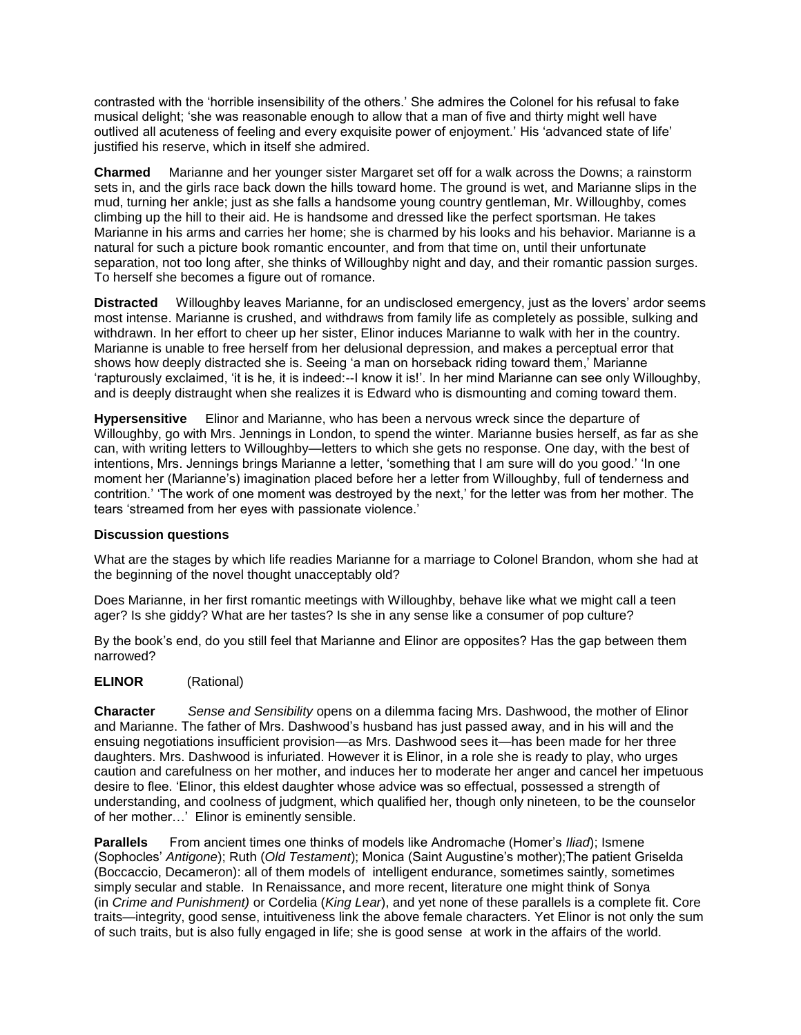contrasted with the 'horrible insensibility of the others.' She admires the Colonel for his refusal to fake musical delight; 'she was reasonable enough to allow that a man of five and thirty might well have outlived all acuteness of feeling and every exquisite power of enjoyment.' His 'advanced state of life' justified his reserve, which in itself she admired.

**Charmed** Marianne and her younger sister Margaret set off for a walk across the Downs; a rainstorm sets in, and the girls race back down the hills toward home. The ground is wet, and Marianne slips in the mud, turning her ankle; just as she falls a handsome young country gentleman, Mr. Willoughby, comes climbing up the hill to their aid. He is handsome and dressed like the perfect sportsman. He takes Marianne in his arms and carries her home; she is charmed by his looks and his behavior. Marianne is a natural for such a picture book romantic encounter, and from that time on, until their unfortunate separation, not too long after, she thinks of Willoughby night and day, and their romantic passion surges. To herself she becomes a figure out of romance.

**Distracted** Willoughby leaves Marianne, for an undisclosed emergency, just as the lovers' ardor seems most intense. Marianne is crushed, and withdraws from family life as completely as possible, sulking and withdrawn. In her effort to cheer up her sister, Elinor induces Marianne to walk with her in the country. Marianne is unable to free herself from her delusional depression, and makes a perceptual error that shows how deeply distracted she is. Seeing 'a man on horseback riding toward them,' Marianne 'rapturously exclaimed, 'it is he, it is indeed:--I know it is!'. In her mind Marianne can see only Willoughby, and is deeply distraught when she realizes it is Edward who is dismounting and coming toward them.

**Hypersensitive** Elinor and Marianne, who has been a nervous wreck since the departure of Willoughby, go with Mrs. Jennings in London, to spend the winter. Marianne busies herself, as far as she can, with writing letters to Willoughby—letters to which she gets no response. One day, with the best of intentions, Mrs. Jennings brings Marianne a letter, 'something that I am sure will do you good.' 'In one moment her (Marianne's) imagination placed before her a letter from Willoughby, full of tenderness and contrition.' 'The work of one moment was destroyed by the next,' for the letter was from her mother. The tears 'streamed from her eyes with passionate violence.'

## **Discussion questions**

What are the stages by which life readies Marianne for a marriage to Colonel Brandon, whom she had at the beginning of the novel thought unacceptably old?

Does Marianne, in her first romantic meetings with Willoughby, behave like what we might call a teen ager? Is she giddy? What are her tastes? Is she in any sense like a consumer of pop culture?

By the book's end, do you still feel that Marianne and Elinor are opposites? Has the gap between them narrowed?

## **ELINOR** (Rational)

**Character** *Sense and Sensibility* opens on a dilemma facing Mrs. Dashwood, the mother of Elinor and Marianne. The father of Mrs. Dashwood's husband has just passed away, and in his will and the ensuing negotiations insufficient provision—as Mrs. Dashwood sees it—has been made for her three daughters. Mrs. Dashwood is infuriated. However it is Elinor, in a role she is ready to play, who urges caution and carefulness on her mother, and induces her to moderate her anger and cancel her impetuous desire to flee. 'Elinor, this eldest daughter whose advice was so effectual, possessed a strength of understanding, and coolness of judgment, which qualified her, though only nineteen, to be the counselor of her mother…' Elinor is eminently sensible.

**Parallels** From ancient times one thinks of models like Andromache (Homer's *Iliad*); Ismene (Sophocles' *Antigone*); Ruth (*Old Testament*); Monica (Saint Augustine's mother);The patient Griselda (Boccaccio, Decameron): all of them models of intelligent endurance, sometimes saintly, sometimes simply secular and stable. In Renaissance, and more recent, literature one might think of Sonya (in *Crime and Punishment)* or Cordelia (*King Lear*), and yet none of these parallels is a complete fit. Core traits—integrity, good sense, intuitiveness link the above female characters. Yet Elinor is not only the sum of such traits, but is also fully engaged in life; she is good sense at work in the affairs of the world.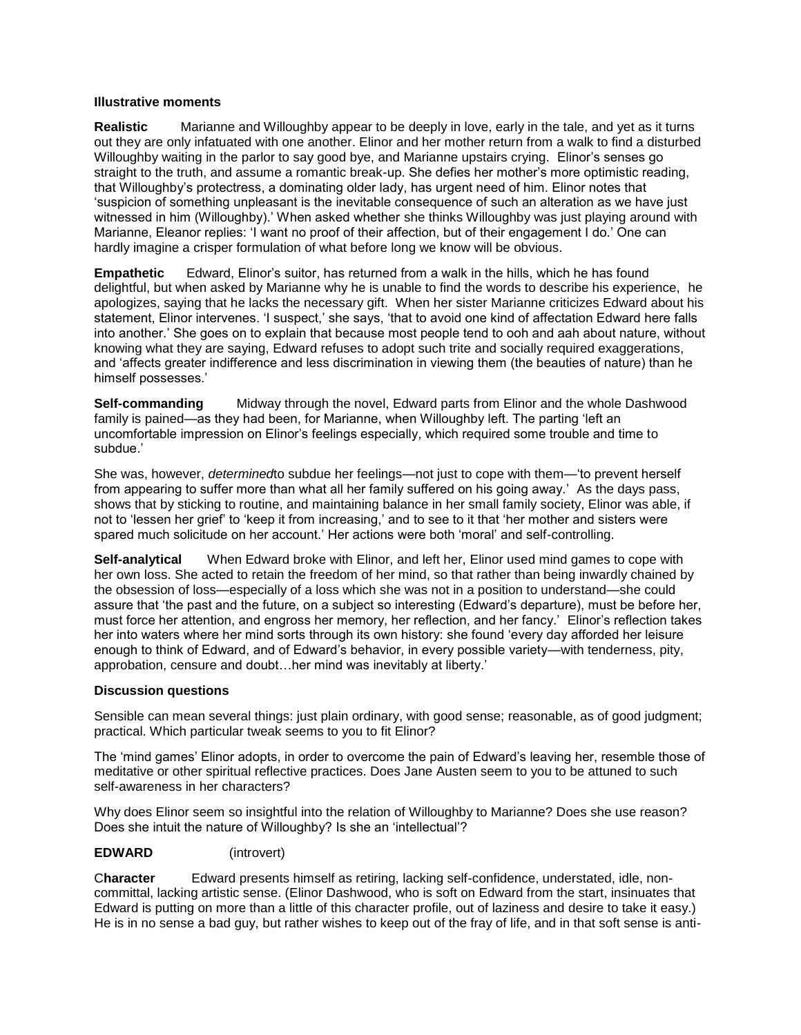#### **Illustrative moments**

**Realistic** Marianne and Willoughby appear to be deeply in love, early in the tale, and yet as it turns out they are only infatuated with one another. Elinor and her mother return from a walk to find a disturbed Willoughby waiting in the parlor to say good bye, and Marianne upstairs crying. Elinor's senses go straight to the truth, and assume a romantic break-up. She defies her mother's more optimistic reading, that Willoughby's protectress, a dominating older lady, has urgent need of him. Elinor notes that 'suspicion of something unpleasant is the inevitable consequence of such an alteration as we have just witnessed in him (Willoughby).' When asked whether she thinks Willoughby was just playing around with Marianne, Eleanor replies: 'I want no proof of their affection, but of their engagement I do.' One can hardly imagine a crisper formulation of what before long we know will be obvious.

**Empathetic** Edward, Elinor's suitor, has returned from a walk in the hills, which he has found delightful, but when asked by Marianne why he is unable to find the words to describe his experience, he apologizes, saying that he lacks the necessary gift. When her sister Marianne criticizes Edward about his statement, Elinor intervenes. 'I suspect,' she says, 'that to avoid one kind of affectation Edward here falls into another.' She goes on to explain that because most people tend to ooh and aah about nature, without knowing what they are saying, Edward refuses to adopt such trite and socially required exaggerations, and 'affects greater indifference and less discrimination in viewing them (the beauties of nature) than he himself possesses.'

**Self-commanding** Midway through the novel, Edward parts from Elinor and the whole Dashwood family is pained—as they had been, for Marianne, when Willoughby left. The parting 'left an uncomfortable impression on Elinor's feelings especially, which required some trouble and time to subdue.'

She was, however, *determined*to subdue her feelings—not just to cope with them—'to prevent herself from appearing to suffer more than what all her family suffered on his going away.' As the days pass, shows that by sticking to routine, and maintaining balance in her small family society, Elinor was able, if not to 'lessen her grief' to 'keep it from increasing,' and to see to it that 'her mother and sisters were spared much solicitude on her account.' Her actions were both 'moral' and self-controlling.

**Self-analytical** When Edward broke with Elinor, and left her, Elinor used mind games to cope with her own loss. She acted to retain the freedom of her mind, so that rather than being inwardly chained by the obsession of loss—especially of a loss which she was not in a position to understand—she could assure that 'the past and the future, on a subject so interesting (Edward's departure), must be before her, must force her attention, and engross her memory, her reflection, and her fancy.' Elinor's reflection takes her into waters where her mind sorts through its own history: she found 'every day afforded her leisure enough to think of Edward, and of Edward's behavior, in every possible variety—with tenderness, pity, approbation, censure and doubt…her mind was inevitably at liberty.'

## **Discussion questions**

Sensible can mean several things: just plain ordinary, with good sense; reasonable, as of good judgment; practical. Which particular tweak seems to you to fit Elinor?

The 'mind games' Elinor adopts, in order to overcome the pain of Edward's leaving her, resemble those of meditative or other spiritual reflective practices. Does Jane Austen seem to you to be attuned to such self-awareness in her characters?

Why does Elinor seem so insightful into the relation of Willoughby to Marianne? Does she use reason? Does she intuit the nature of Willoughby? Is she an 'intellectual'?

## **EDWARD** (introvert)

C**haracter** Edward presents himself as retiring, lacking self-confidence, understated, idle, noncommittal, lacking artistic sense. (Elinor Dashwood, who is soft on Edward from the start, insinuates that Edward is putting on more than a little of this character profile, out of laziness and desire to take it easy.) He is in no sense a bad guy, but rather wishes to keep out of the fray of life, and in that soft sense is anti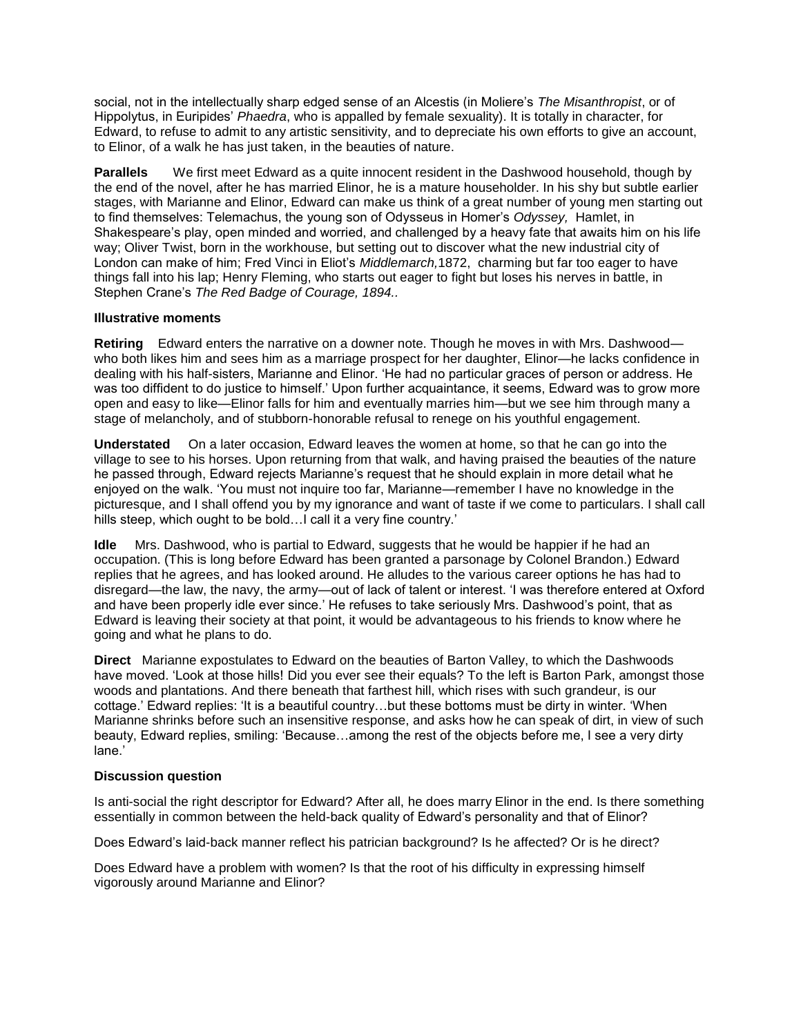social, not in the intellectually sharp edged sense of an Alcestis (in Moliere's *The Misanthropist*, or of Hippolytus, in Euripides' *Phaedra*, who is appalled by female sexuality). It is totally in character, for Edward, to refuse to admit to any artistic sensitivity, and to depreciate his own efforts to give an account, to Elinor, of a walk he has just taken, in the beauties of nature.

**Parallels** We first meet Edward as a quite innocent resident in the Dashwood household, though by the end of the novel, after he has married Elinor, he is a mature householder. In his shy but subtle earlier stages, with Marianne and Elinor, Edward can make us think of a great number of young men starting out to find themselves: Telemachus, the young son of Odysseus in Homer's *Odyssey,* Hamlet, in Shakespeare's play, open minded and worried, and challenged by a heavy fate that awaits him on his life way; Oliver Twist, born in the workhouse, but setting out to discover what the new industrial city of London can make of him; Fred Vinci in Eliot's *Middlemarch,*1872, charming but far too eager to have things fall into his lap; Henry Fleming, who starts out eager to fight but loses his nerves in battle, in Stephen Crane's *The Red Badge of Courage, 1894..*

## **Illustrative moments**

**Retiring** Edward enters the narrative on a downer note. Though he moves in with Mrs. Dashwood who both likes him and sees him as a marriage prospect for her daughter, Elinor—he lacks confidence in dealing with his half-sisters, Marianne and Elinor. 'He had no particular graces of person or address. He was too diffident to do justice to himself.' Upon further acquaintance, it seems, Edward was to grow more open and easy to like—Elinor falls for him and eventually marries him—but we see him through many a stage of melancholy, and of stubborn-honorable refusal to renege on his youthful engagement.

**Understated** On a later occasion, Edward leaves the women at home, so that he can go into the village to see to his horses. Upon returning from that walk, and having praised the beauties of the nature he passed through, Edward rejects Marianne's request that he should explain in more detail what he enjoyed on the walk. 'You must not inquire too far, Marianne—remember I have no knowledge in the picturesque, and I shall offend you by my ignorance and want of taste if we come to particulars. I shall call hills steep, which ought to be bold... call it a very fine country.'

**Idle** Mrs. Dashwood, who is partial to Edward, suggests that he would be happier if he had an occupation. (This is long before Edward has been granted a parsonage by Colonel Brandon.) Edward replies that he agrees, and has looked around. He alludes to the various career options he has had to disregard—the law, the navy, the army—out of lack of talent or interest. 'I was therefore entered at Oxford and have been properly idle ever since.' He refuses to take seriously Mrs. Dashwood's point, that as Edward is leaving their society at that point, it would be advantageous to his friends to know where he going and what he plans to do.

**Direct** Marianne expostulates to Edward on the beauties of Barton Valley, to which the Dashwoods have moved. 'Look at those hills! Did you ever see their equals? To the left is Barton Park, amongst those woods and plantations. And there beneath that farthest hill, which rises with such grandeur, is our cottage.' Edward replies: 'It is a beautiful country…but these bottoms must be dirty in winter. 'When Marianne shrinks before such an insensitive response, and asks how he can speak of dirt, in view of such beauty, Edward replies, smiling: 'Because…among the rest of the objects before me, I see a very dirty lane.'

## **Discussion question**

Is anti-social the right descriptor for Edward? After all, he does marry Elinor in the end. Is there something essentially in common between the held-back quality of Edward's personality and that of Elinor?

Does Edward's laid-back manner reflect his patrician background? Is he affected? Or is he direct?

Does Edward have a problem with women? Is that the root of his difficulty in expressing himself vigorously around Marianne and Elinor?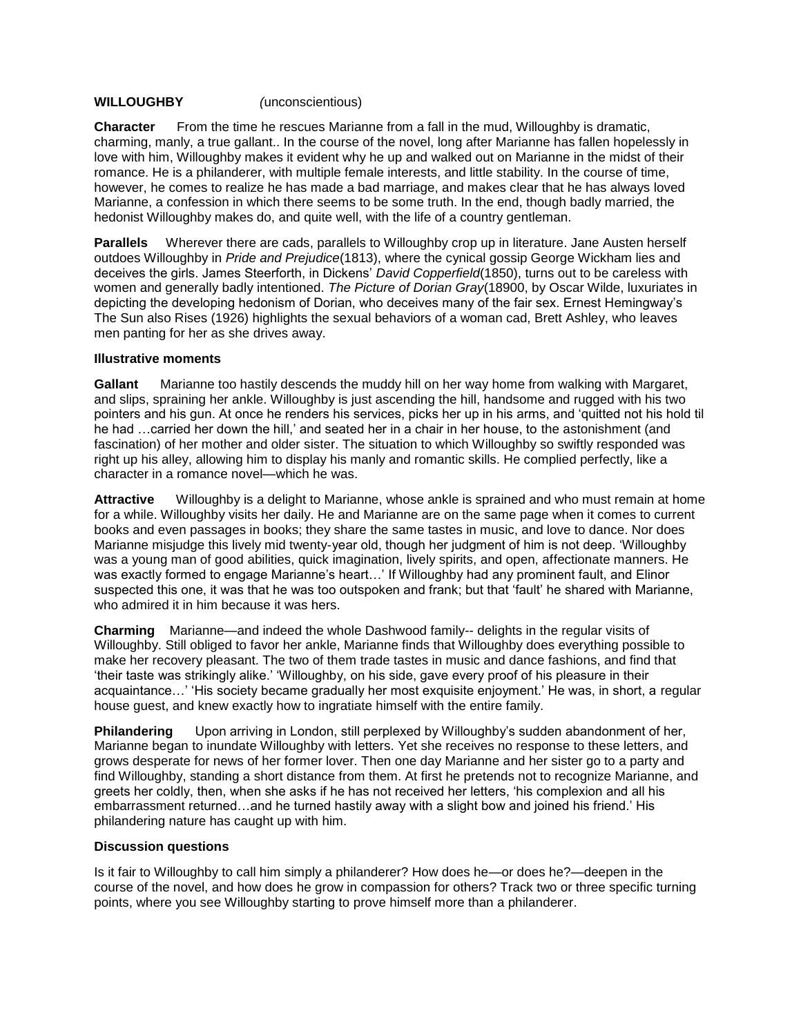# **WILLOUGHBY** *(*unconscientious)

**Character** From the time he rescues Marianne from a fall in the mud, Willoughby is dramatic, charming, manly, a true gallant.. In the course of the novel, long after Marianne has fallen hopelessly in love with him, Willoughby makes it evident why he up and walked out on Marianne in the midst of their romance. He is a philanderer, with multiple female interests, and little stability. In the course of time, however, he comes to realize he has made a bad marriage, and makes clear that he has always loved Marianne, a confession in which there seems to be some truth. In the end, though badly married, the hedonist Willoughby makes do, and quite well, with the life of a country gentleman.

**Parallels** Wherever there are cads, parallels to Willoughby crop up in literature. Jane Austen herself outdoes Willoughby in *Pride and Prejudice*(1813), where the cynical gossip George Wickham lies and deceives the girls. James Steerforth, in Dickens' *David Copperfield*(1850), turns out to be careless with women and generally badly intentioned. *The Picture of Dorian Gray*(18900, by Oscar Wilde, luxuriates in depicting the developing hedonism of Dorian, who deceives many of the fair sex. Ernest Hemingway's The Sun also Rises (1926) highlights the sexual behaviors of a woman cad, Brett Ashley, who leaves men panting for her as she drives away.

#### **Illustrative moments**

**Gallant** Marianne too hastily descends the muddy hill on her way home from walking with Margaret, and slips, spraining her ankle. Willoughby is just ascending the hill, handsome and rugged with his two pointers and his gun. At once he renders his services, picks her up in his arms, and 'quitted not his hold til he had …carried her down the hill,' and seated her in a chair in her house, to the astonishment (and fascination) of her mother and older sister. The situation to which Willoughby so swiftly responded was right up his alley, allowing him to display his manly and romantic skills. He complied perfectly, like a character in a romance novel—which he was.

**Attractive** Willoughby is a delight to Marianne, whose ankle is sprained and who must remain at home for a while. Willoughby visits her daily. He and Marianne are on the same page when it comes to current books and even passages in books; they share the same tastes in music, and love to dance. Nor does Marianne misjudge this lively mid twenty-year old, though her judgment of him is not deep. 'Willoughby was a young man of good abilities, quick imagination, lively spirits, and open, affectionate manners. He was exactly formed to engage Marianne's heart…' If Willoughby had any prominent fault, and Elinor suspected this one, it was that he was too outspoken and frank; but that 'fault' he shared with Marianne, who admired it in him because it was hers.

**Charming** Marianne—and indeed the whole Dashwood family-- delights in the regular visits of Willoughby. Still obliged to favor her ankle, Marianne finds that Willoughby does everything possible to make her recovery pleasant. The two of them trade tastes in music and dance fashions, and find that 'their taste was strikingly alike.' 'Willoughby, on his side, gave every proof of his pleasure in their acquaintance…' 'His society became gradually her most exquisite enjoyment.' He was, in short, a regular house guest, and knew exactly how to ingratiate himself with the entire family.

**Philandering** Upon arriving in London, still perplexed by Willoughby's sudden abandonment of her, Marianne began to inundate Willoughby with letters. Yet she receives no response to these letters, and grows desperate for news of her former lover. Then one day Marianne and her sister go to a party and find Willoughby, standing a short distance from them. At first he pretends not to recognize Marianne, and greets her coldly, then, when she asks if he has not received her letters, 'his complexion and all his embarrassment returned…and he turned hastily away with a slight bow and joined his friend.' His philandering nature has caught up with him.

## **Discussion questions**

Is it fair to Willoughby to call him simply a philanderer? How does he—or does he?—deepen in the course of the novel, and how does he grow in compassion for others? Track two or three specific turning points, where you see Willoughby starting to prove himself more than a philanderer.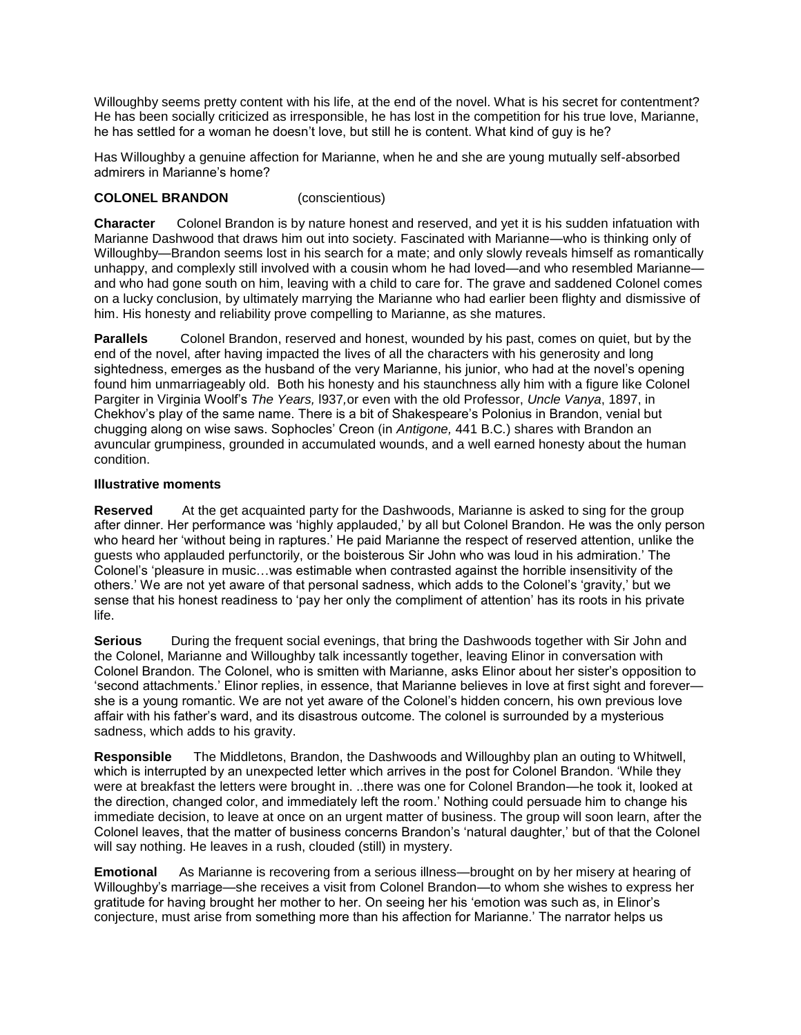Willoughby seems pretty content with his life, at the end of the novel. What is his secret for contentment? He has been socially criticized as irresponsible, he has lost in the competition for his true love, Marianne, he has settled for a woman he doesn't love, but still he is content. What kind of guy is he?

Has Willoughby a genuine affection for Marianne, when he and she are young mutually self-absorbed admirers in Marianne's home?

# **COLONEL BRANDON** (conscientious)

**Character** Colonel Brandon is by nature honest and reserved, and yet it is his sudden infatuation with Marianne Dashwood that draws him out into society. Fascinated with Marianne—who is thinking only of Willoughby—Brandon seems lost in his search for a mate; and only slowly reveals himself as romantically unhappy, and complexly still involved with a cousin whom he had loved—and who resembled Marianne and who had gone south on him, leaving with a child to care for. The grave and saddened Colonel comes on a lucky conclusion, by ultimately marrying the Marianne who had earlier been flighty and dismissive of him. His honesty and reliability prove compelling to Marianne, as she matures.

**Parallels** Colonel Brandon, reserved and honest, wounded by his past, comes on quiet, but by the end of the novel, after having impacted the lives of all the characters with his generosity and long sightedness, emerges as the husband of the very Marianne, his junior, who had at the novel's opening found him unmarriageably old. Both his honesty and his staunchness ally him with a figure like Colonel Pargiter in Virginia Woolf's *The Years,* l937*,*or even with the old Professor, *Uncle Vanya*, 1897, in Chekhov's play of the same name. There is a bit of Shakespeare's Polonius in Brandon, venial but chugging along on wise saws. Sophocles' Creon (in *Antigone,* 441 B.C*.*) shares with Brandon an avuncular grumpiness, grounded in accumulated wounds, and a well earned honesty about the human condition.

## **Illustrative moments**

**Reserved** At the get acquainted party for the Dashwoods, Marianne is asked to sing for the group after dinner. Her performance was 'highly applauded,' by all but Colonel Brandon. He was the only person who heard her 'without being in raptures.' He paid Marianne the respect of reserved attention, unlike the guests who applauded perfunctorily, or the boisterous Sir John who was loud in his admiration.' The Colonel's 'pleasure in music…was estimable when contrasted against the horrible insensitivity of the others.' We are not yet aware of that personal sadness, which adds to the Colonel's 'gravity,' but we sense that his honest readiness to 'pay her only the compliment of attention' has its roots in his private life.

**Serious** During the frequent social evenings, that bring the Dashwoods together with Sir John and the Colonel, Marianne and Willoughby talk incessantly together, leaving Elinor in conversation with Colonel Brandon. The Colonel, who is smitten with Marianne, asks Elinor about her sister's opposition to 'second attachments.' Elinor replies, in essence, that Marianne believes in love at first sight and forever she is a young romantic. We are not yet aware of the Colonel's hidden concern, his own previous love affair with his father's ward, and its disastrous outcome. The colonel is surrounded by a mysterious sadness, which adds to his gravity.

**Responsible** The Middletons, Brandon, the Dashwoods and Willoughby plan an outing to Whitwell, which is interrupted by an unexpected letter which arrives in the post for Colonel Brandon. 'While they were at breakfast the letters were brought in. ..there was one for Colonel Brandon—he took it, looked at the direction, changed color, and immediately left the room.' Nothing could persuade him to change his immediate decision, to leave at once on an urgent matter of business. The group will soon learn, after the Colonel leaves, that the matter of business concerns Brandon's 'natural daughter,' but of that the Colonel will say nothing. He leaves in a rush, clouded (still) in mystery.

**Emotional** As Marianne is recovering from a serious illness—brought on by her misery at hearing of Willoughby's marriage—she receives a visit from Colonel Brandon—to whom she wishes to express her gratitude for having brought her mother to her. On seeing her his 'emotion was such as, in Elinor's conjecture, must arise from something more than his affection for Marianne.' The narrator helps us